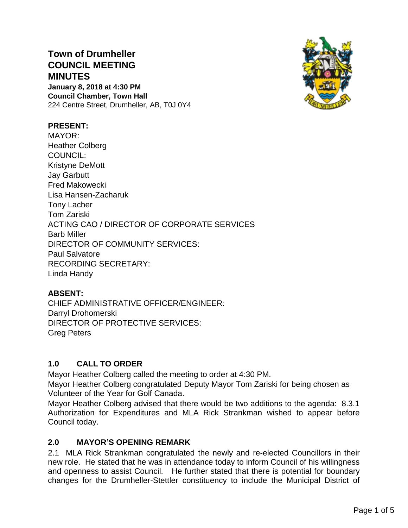# **Town of Drumheller COUNCIL MEETING MINUTES**

**January 8, 2018 at 4:30 PM Council Chamber, Town Hall** 224 Centre Street, Drumheller, AB, T0J 0Y4



# **PRESENT:**

MAYOR: Heather Colberg COUNCIL: Kristyne DeMott Jay Garbutt Fred Makowecki Lisa Hansen-Zacharuk Tony Lacher Tom Zariski ACTING CAO / DIRECTOR OF CORPORATE SERVICES Barb Miller DIRECTOR OF COMMUNITY SERVICES: Paul Salvatore RECORDING SECRETARY: Linda Handy

# **ABSENT:**

CHIEF ADMINISTRATIVE OFFICER/ENGINEER: Darryl Drohomerski DIRECTOR OF PROTECTIVE SERVICES: Greg Peters

# **1.0 CALL TO ORDER**

Mayor Heather Colberg called the meeting to order at 4:30 PM.

Mayor Heather Colberg congratulated Deputy Mayor Tom Zariski for being chosen as Volunteer of the Year for Golf Canada.

Mayor Heather Colberg advised that there would be two additions to the agenda: 8.3.1 Authorization for Expenditures and MLA Rick Strankman wished to appear before Council today.

# **2.0 MAYOR'S OPENING REMARK**

2.1 MLA Rick Strankman congratulated the newly and re-elected Councillors in their new role. He stated that he was in attendance today to inform Council of his willingness and openness to assist Council. He further stated that there is potential for boundary changes for the Drumheller-Stettler constituency to include the Municipal District of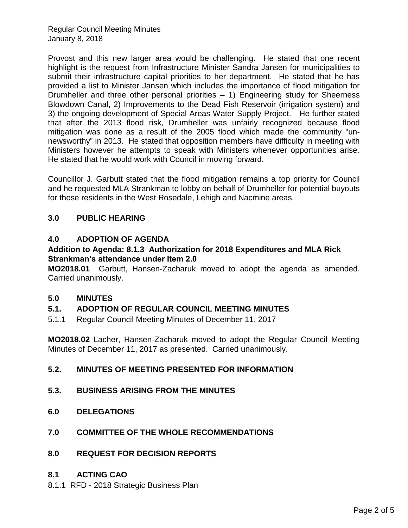Provost and this new larger area would be challenging. He stated that one recent highlight is the request from Infrastructure Minister Sandra Jansen for municipalities to submit their infrastructure capital priorities to her department. He stated that he has provided a list to Minister Jansen which includes the importance of flood mitigation for Drumheller and three other personal priorities – 1) Engineering study for Sheerness Blowdown Canal, 2) Improvements to the Dead Fish Reservoir (irrigation system) and 3) the ongoing development of Special Areas Water Supply Project. He further stated that after the 2013 flood risk, Drumheller was unfairly recognized because flood mitigation was done as a result of the 2005 flood which made the community "unnewsworthy" in 2013. He stated that opposition members have difficulty in meeting with Ministers however he attempts to speak with Ministers whenever opportunities arise. He stated that he would work with Council in moving forward.

Councillor J. Garbutt stated that the flood mitigation remains a top priority for Council and he requested MLA Strankman to lobby on behalf of Drumheller for potential buyouts for those residents in the West Rosedale, Lehigh and Nacmine areas.

# **3.0 PUBLIC HEARING**

# **4.0 ADOPTION OF AGENDA**

### **Addition to Agenda: 8.1.3 Authorization for 2018 Expenditures and MLA Rick Strankman's attendance under Item 2.0**

**MO2018.01** Garbutt, Hansen-Zacharuk moved to adopt the agenda as amended. Carried unanimously.

# **5.0 MINUTES**

# **5.1. ADOPTION OF REGULAR COUNCIL MEETING MINUTES**

5.1.1 Regular Council Meeting Minutes of December 11, 2017

**MO2018.02** Lacher, Hansen-Zacharuk moved to adopt the Regular Council Meeting Minutes of December 11, 2017 as presented. Carried unanimously.

# **5.2. MINUTES OF MEETING PRESENTED FOR INFORMATION**

- **5.3. BUSINESS ARISING FROM THE MINUTES**
- **6.0 DELEGATIONS**
- **7.0 COMMITTEE OF THE WHOLE RECOMMENDATIONS**
- **8.0 REQUEST FOR DECISION REPORTS**

#### **8.1 ACTING CAO**

8.1.1 RFD - 2018 Strategic Business Plan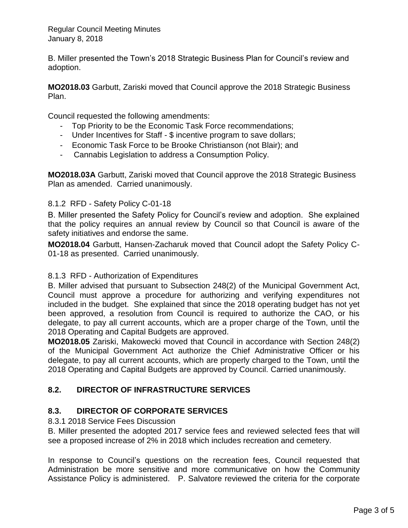B. Miller presented the Town's 2018 Strategic Business Plan for Council's review and adoption.

**MO2018.03** Garbutt, Zariski moved that Council approve the 2018 Strategic Business Plan.

Council requested the following amendments:

- Top Priority to be the Economic Task Force recommendations;
- Under Incentives for Staff \$ incentive program to save dollars;
- Economic Task Force to be Brooke Christianson (not Blair); and
- Cannabis Legislation to address a Consumption Policy.

**MO2018.03A** Garbutt, Zariski moved that Council approve the 2018 Strategic Business Plan as amended. Carried unanimously.

#### 8.1.2 RFD - Safety Policy C-01-18

B. Miller presented the Safety Policy for Council's review and adoption. She explained that the policy requires an annual review by Council so that Council is aware of the safety initiatives and endorse the same.

**MO2018.04** Garbutt, Hansen-Zacharuk moved that Council adopt the Safety Policy C-01-18 as presented. Carried unanimously.

#### 8.1.3 RFD - Authorization of Expenditures

B. Miller advised that pursuant to Subsection 248(2) of the Municipal Government Act, Council must approve a procedure for authorizing and verifying expenditures not included in the budget. She explained that since the 2018 operating budget has not yet been approved, a resolution from Council is required to authorize the CAO, or his delegate, to pay all current accounts, which are a proper charge of the Town, until the 2018 Operating and Capital Budgets are approved.

**MO2018.05** Zariski, Makowecki moved that Council in accordance with Section 248(2) of the Municipal Government Act authorize the Chief Administrative Officer or his delegate, to pay all current accounts, which are properly charged to the Town, until the 2018 Operating and Capital Budgets are approved by Council. Carried unanimously.

# **8.2. DIRECTOR OF INFRASTRUCTURE SERVICES**

# **8.3. DIRECTOR OF CORPORATE SERVICES**

# 8.3.1 2018 Service Fees Discussion

B. Miller presented the adopted 2017 service fees and reviewed selected fees that will see a proposed increase of 2% in 2018 which includes recreation and cemetery.

In response to Council's questions on the recreation fees, Council requested that Administration be more sensitive and more communicative on how the Community Assistance Policy is administered. P. Salvatore reviewed the criteria for the corporate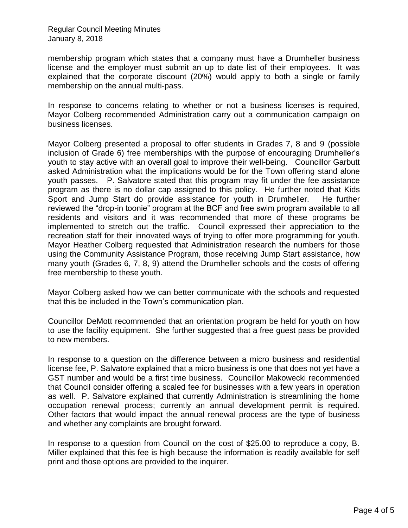membership program which states that a company must have a Drumheller business license and the employer must submit an up to date list of their employees. It was explained that the corporate discount (20%) would apply to both a single or family membership on the annual multi-pass.

In response to concerns relating to whether or not a business licenses is required, Mayor Colberg recommended Administration carry out a communication campaign on business licenses.

Mayor Colberg presented a proposal to offer students in Grades 7, 8 and 9 (possible inclusion of Grade 6) free memberships with the purpose of encouraging Drumheller's youth to stay active with an overall goal to improve their well-being. Councillor Garbutt asked Administration what the implications would be for the Town offering stand alone youth passes. P. Salvatore stated that this program may fit under the fee assistance program as there is no dollar cap assigned to this policy. He further noted that Kids Sport and Jump Start do provide assistance for youth in Drumheller. He further reviewed the "drop-in toonie" program at the BCF and free swim program available to all residents and visitors and it was recommended that more of these programs be implemented to stretch out the traffic. Council expressed their appreciation to the recreation staff for their innovated ways of trying to offer more programming for youth. Mayor Heather Colberg requested that Administration research the numbers for those using the Community Assistance Program, those receiving Jump Start assistance, how many youth (Grades 6, 7, 8, 9) attend the Drumheller schools and the costs of offering free membership to these youth.

Mayor Colberg asked how we can better communicate with the schools and requested that this be included in the Town's communication plan.

Councillor DeMott recommended that an orientation program be held for youth on how to use the facility equipment. She further suggested that a free guest pass be provided to new members.

In response to a question on the difference between a micro business and residential license fee, P. Salvatore explained that a micro business is one that does not yet have a GST number and would be a first time business. Councillor Makowecki recommended that Council consider offering a scaled fee for businesses with a few years in operation as well. P. Salvatore explained that currently Administration is streamlining the home occupation renewal process; currently an annual development permit is required. Other factors that would impact the annual renewal process are the type of business and whether any complaints are brought forward.

In response to a question from Council on the cost of \$25.00 to reproduce a copy, B. Miller explained that this fee is high because the information is readily available for self print and those options are provided to the inquirer.